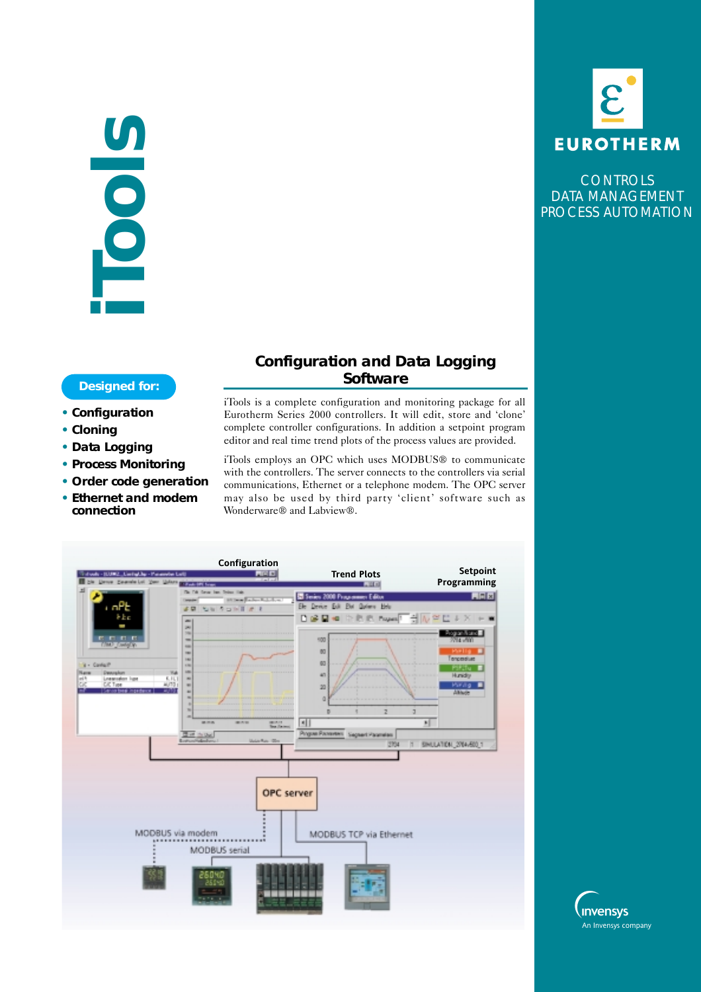# **iTools**

- **• Configuration**
- **• Cloning**
- **• Data Logging**
- **• Process Monitoring**
- **• Order code generation**
- **• Ethernet and modem connection**

# **Configuration and Data Logging Designed for: CONSERVING CONSERVANCE**

iTools is a complete configuration and monitoring package for all Eurotherm Series 2000 controllers. It will edit, store and 'clone' complete controller configurations. In addition a setpoint program editor and real time trend plots of the process values are provided.

iTools employs an OPC which uses MODBUS® to communicate with the controllers. The server connects to the controllers via serial communications, Ethernet or a telephone modem. The OPC server may also be used by third party 'client' software such as Wonderware® and Labview®.





**CONTROLS** DATA MANAGEMENT PROCESS AUTOMATION

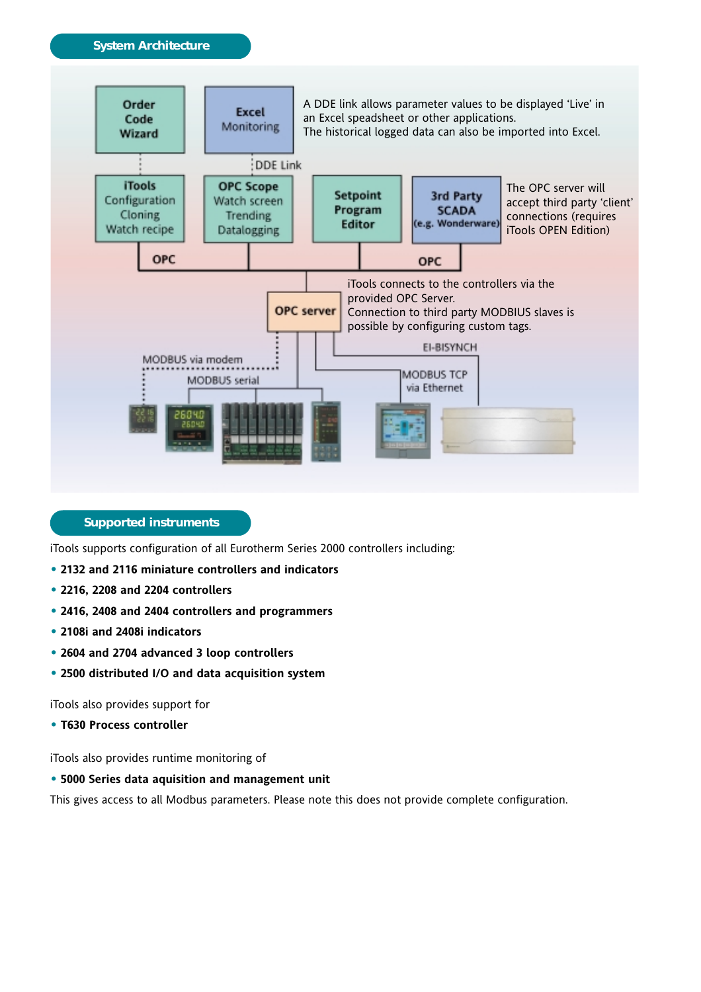

**Supported instruments**

iTools supports configuration of all Eurotherm Series 2000 controllers including:

- **• 2132 and 2116 miniature controllers and indicators**
- **• 2216, 2208 and 2204 controllers**
- **• 2416, 2408 and 2404 controllers and programmers**
- **• 2108i and 2408i indicators**
- **• 2604 and 2704 advanced 3 loop controllers**
- **• 2500 distributed I/O and data acquisition system**

iTools also provides support for

**• T630 Process controller**

iTools also provides runtime monitoring of

## **• 5000 Series data aquisition and management unit**

This gives access to all Modbus parameters. Please note this does not provide complete configuration.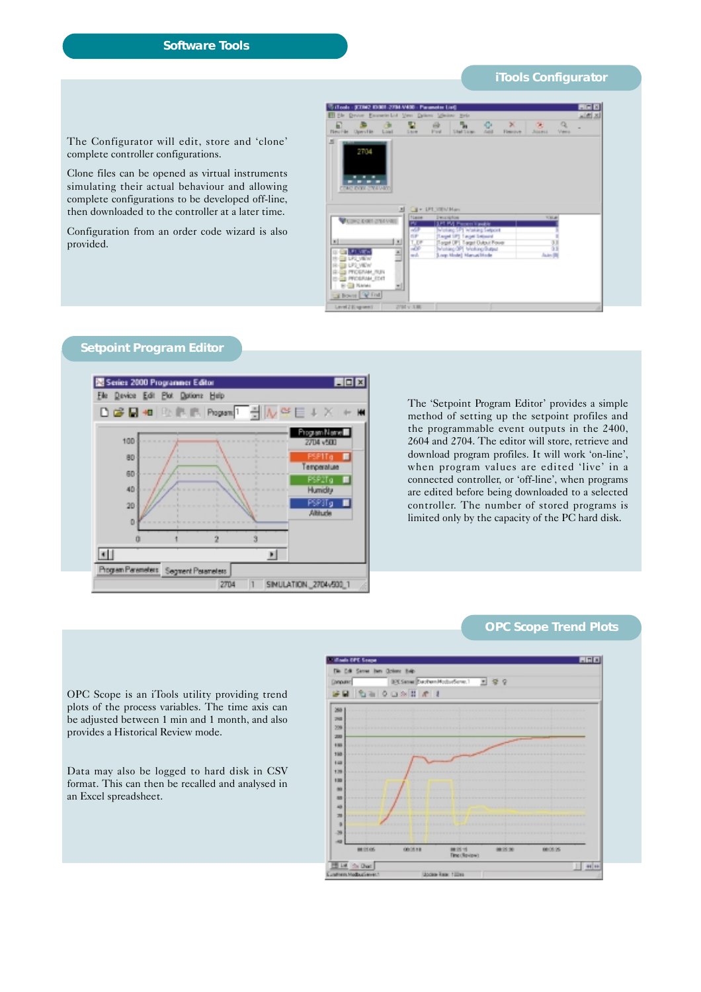## **Software Tools**

### **iTools Configurator**

The Configurator will edit, store and 'clone' complete controller configurations.

Clone files can be opened as virtual instruments simulating their actual behaviour and allowing complete configurations to be developed off-line, then downloaded to the controller at a later time.

Configuration from an order code wizard is also provided.



# **Setpoint Program Editor**



The 'Setpoint Program Editor' provides a simple method of setting up the setpoint profiles and the programmable event outputs in the 2400, 2604 and 2704. The editor will store, retrieve and download program profiles. It will work 'on-line', when program values are edited 'live' in a connected controller, or 'off-line', when programs are edited before being downloaded to a selected controller. The number of stored programs is limited only by the capacity of the PC hard disk.

### **OPC Scope Trend Plots**

OPC Scope is an iTools utility providing trend plots of the process variables. The time axis can be adjusted between 1 min and 1 month, and also provides a Historical Review mode.

Data may also be logged to hard disk in CSV format. This can then be recalled and analysed in an Excel spreadsheet.